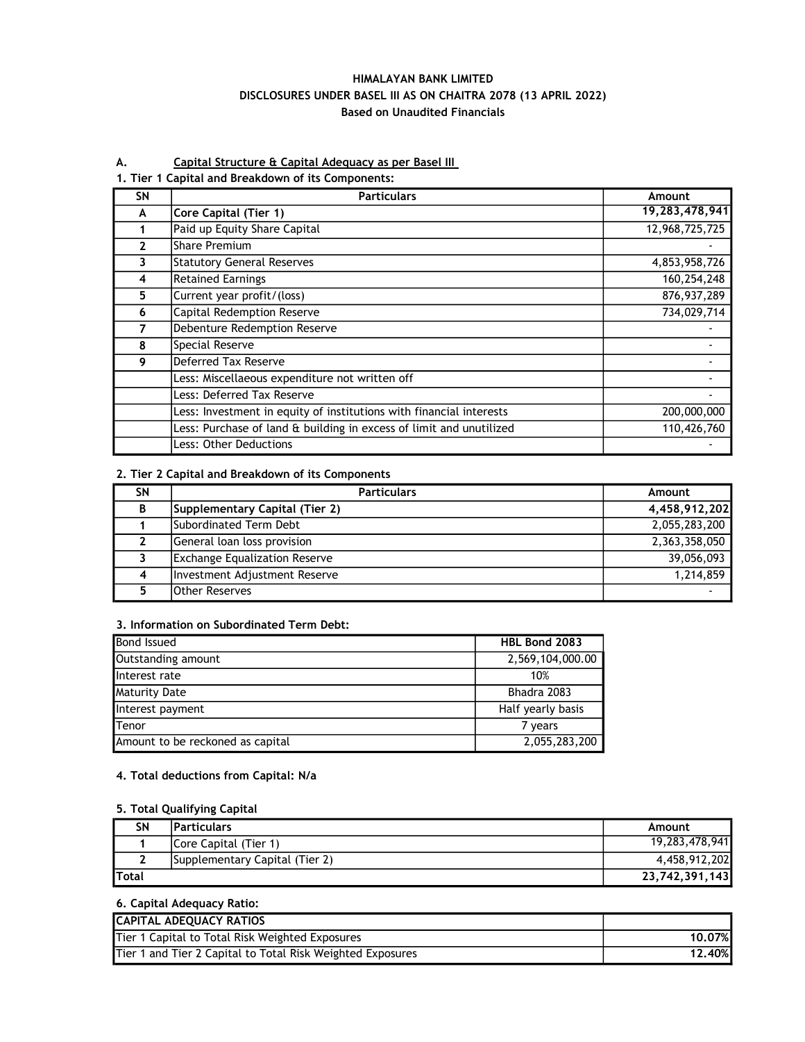### HIMALAYAN BANK LIMITED DISCLOSURES UNDER BASEL III AS ON CHAITRA 2078 (13 APRIL 2022) Based on Unaudited Financials

### A. Capital Structure & Capital Adequacy as per Basel III

#### 1. Tier 1 Capital and Breakdown of its Components:

| <b>SN</b>    | <b>Particulars</b>                                                  | Amount         |
|--------------|---------------------------------------------------------------------|----------------|
| A            | Core Capital (Tier 1)                                               | 19,283,478,941 |
|              | Paid up Equity Share Capital                                        | 12,968,725,725 |
| $\mathbf{2}$ | <b>Share Premium</b>                                                |                |
| 3            | <b>Statutory General Reserves</b>                                   | 4,853,958,726  |
| 4            | <b>Retained Earnings</b>                                            | 160,254,248    |
| 5            | Current year profit/(loss)                                          | 876,937,289    |
| 6            | Capital Redemption Reserve                                          | 734,029,714    |
|              | Debenture Redemption Reserve                                        |                |
| 8            | Special Reserve                                                     |                |
| 9            | Deferred Tax Reserve                                                |                |
|              | Less: Miscellaeous expenditure not written off                      |                |
|              | Less: Deferred Tax Reserve                                          |                |
|              | Less: Investment in equity of institutions with financial interests | 200,000,000    |
|              | Less: Purchase of land & building in excess of limit and unutilized | 110,426,760    |
|              | Less: Other Deductions                                              |                |

## 2. Tier 2 Capital and Breakdown of its Components

| SΝ | <b>Particulars</b>                   | Amount        |
|----|--------------------------------------|---------------|
| B  | Supplementary Capital (Tier 2)       | 4,458,912,202 |
|    | lSubordinated Term Debt              | 2,055,283,200 |
|    | General loan loss provision          | 2,363,358,050 |
|    | <b>Exchange Equalization Reserve</b> | 39,056,093    |
| Δ  | Investment Adjustment Reserve        | 1,214,859     |
|    | <b>Other Reserves</b>                |               |

#### 3. Information on Subordinated Term Debt:

| <b>Bond Issued</b>               | <b>HBL Bond 2083</b> |
|----------------------------------|----------------------|
| Outstanding amount               | 2,569,104,000.00     |
| Interest rate                    | 10%                  |
| <b>Maturity Date</b>             | Bhadra 2083          |
| Interest payment                 | Half yearly basis    |
| Tenor                            | 7 years              |
| Amount to be reckoned as capital | 2,055,283,200        |

### 4. Total deductions from Capital: N/a

#### 5. Total Qualifying Capital

| <b>SN</b>     | <b>Particulars</b>                     | Amount         |
|---------------|----------------------------------------|----------------|
|               | Core Capital (Tier 1)                  | 19,283,478,941 |
|               | <b>ISupplementary Capital (Tier 2)</b> | 4.458.912.202  |
| <b>'Total</b> |                                        | 23,742,391,143 |

#### 6. Capital Adequacy Ratio:

| <b>CAPITAL ADEQUACY RATIOS</b>                             |               |
|------------------------------------------------------------|---------------|
| Tier 1 Capital to Total Risk Weighted Exposures            | 10.07%        |
| Tier 1 and Tier 2 Capital to Total Risk Weighted Exposures | <b>12.40%</b> |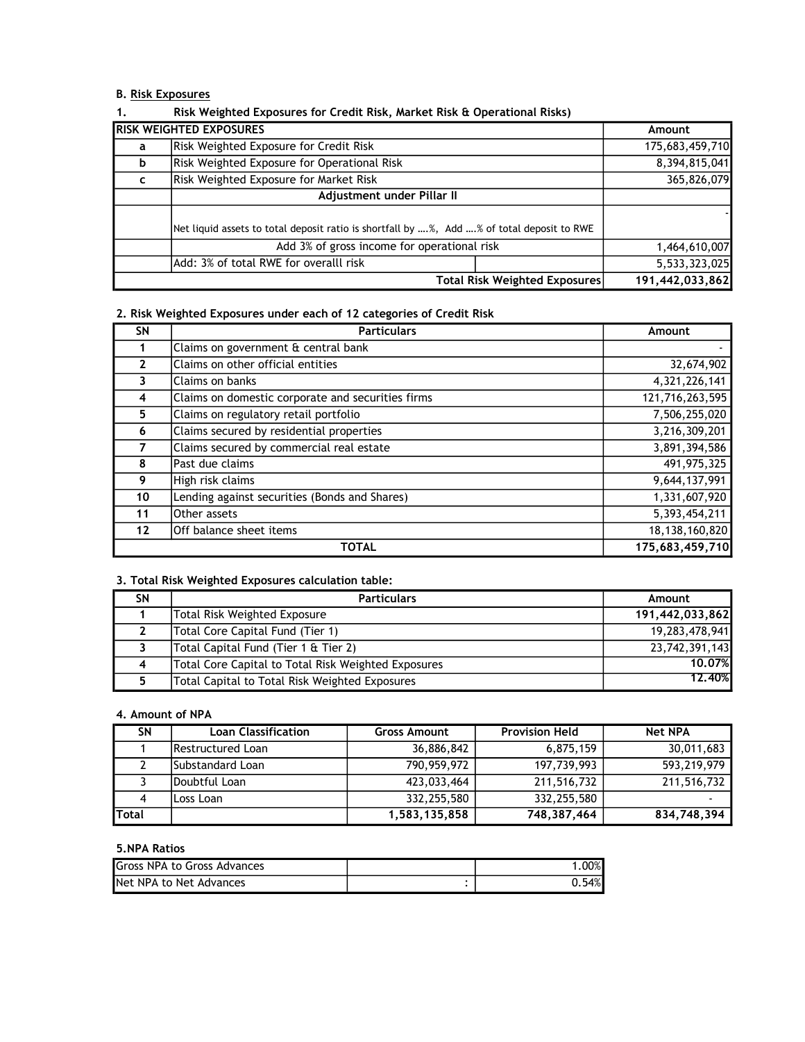### B. Risk Exposures

| . . | <b>NISK WEIGHTED LADOSULES TOF CIEDIL INSK, MULKEL INSK &amp; OPERATIONAL INSKS</b>       |                               |                 |
|-----|-------------------------------------------------------------------------------------------|-------------------------------|-----------------|
|     | <b>RISK WEIGHTED EXPOSURES</b>                                                            |                               | Amount          |
| a   | Risk Weighted Exposure for Credit Risk                                                    |                               | 175,683,459,710 |
| b   | Risk Weighted Exposure for Operational Risk                                               |                               | 8,394,815,041   |
| C   | <b>Risk Weighted Exposure for Market Risk</b>                                             |                               | 365,826,079     |
|     | Adjustment under Pillar II                                                                |                               |                 |
|     | Net liquid assets to total deposit ratio is shortfall by %, Add % of total deposit to RWE |                               |                 |
|     | Add 3% of gross income for operational risk                                               |                               | 1,464,610,007   |
|     | Add: 3% of total RWE for overalll risk                                                    |                               | 5,533,323,025   |
|     |                                                                                           | Total Risk Weighted Exposures | 191,442,033,862 |

# 1. Risk Weighted Exposures for Credit Risk, Market Risk & Operational Risks)

### 2. Risk Weighted Exposures under each of 12 categories of Credit Risk

| <b>SN</b>         | <b>Particulars</b>                                | Amount          |
|-------------------|---------------------------------------------------|-----------------|
|                   | Claims on government & central bank               |                 |
| $\overline{2}$    | Claims on other official entities                 | 32,674,902      |
| 3                 | Claims on banks                                   | 4,321,226,141   |
| 4                 | Claims on domestic corporate and securities firms | 121,716,263,595 |
| 5                 | Claims on regulatory retail portfolio             | 7,506,255,020   |
| 6                 | Claims secured by residential properties          | 3,216,309,201   |
|                   | Claims secured by commercial real estate          | 3,891,394,586   |
| 8                 | Past due claims                                   | 491, 975, 325   |
| 9                 | High risk claims                                  | 9,644,137,991   |
| 10                | Lending against securities (Bonds and Shares)     | 1,331,607,920   |
| 11                | Other assets                                      | 5,393,454,211   |
| $12 \overline{ }$ | Off balance sheet items                           | 18,138,160,820  |
|                   | <b>TOTAL</b>                                      | 175,683,459,710 |

#### 3. Total Risk Weighted Exposures calculation table:

| SΝ | <b>Particulars</b>                                  | Amount          |
|----|-----------------------------------------------------|-----------------|
|    | Total Risk Weighted Exposure                        | 191,442,033,862 |
|    | Total Core Capital Fund (Tier 1)                    | 19,283,478,941  |
|    | Total Capital Fund (Tier 1 & Tier 2)                | 23,742,391,143  |
|    | Total Core Capital to Total Risk Weighted Exposures | 10.07%          |
|    | Total Capital to Total Risk Weighted Exposures      | 12.40%          |

#### 4. Amount of NPA

| <b>SN</b>    | <b>Loan Classification</b> | <b>Gross Amount</b> | <b>Provision Held</b> | <b>Net NPA</b> |
|--------------|----------------------------|---------------------|-----------------------|----------------|
|              | <b>Restructured Loan</b>   | 36,886,842          | 6.875.159             | 30,011,683     |
|              | lSubstandard Loan          | 790,959,972         | 197,739,993           | 593,219,979    |
|              | Doubtful Loan              | 423,033,464         | 211,516,732           | 211,516,732    |
| 4            | Loss Loan                  | 332,255,580         | 332,255,580           |                |
| <b>Total</b> |                            | 1,583,135,858       | 748,387,464           | 834,748,394    |

#### 5.NPA Ratios

| Gross NPA to Gross Advances | 00% |
|-----------------------------|-----|
| Net NPA to Net Advances     | 54% |